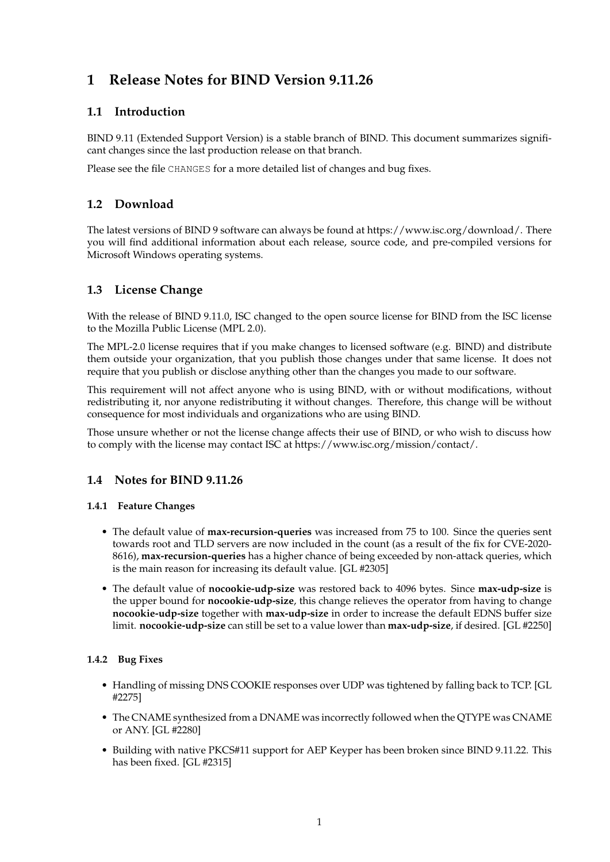# **1 Release Notes for BIND Version 9.11.26**

# **1.1 Introduction**

BIND 9.11 (Extended Support Version) is a stable branch of BIND. This document summarizes significant changes since the last production release on that branch.

Please see the file CHANGES for a more detailed list of changes and bug fixes.

# **1.2 Download**

The latest versions of BIND 9 software can always be found at https://www.isc.org/download/. There you will find additional information about each release, source code, and pre-compiled versions for Microsoft Windows operating systems.

# **1.3 License Change**

With the release of BIND 9.11.0, ISC changed to the open source license for BIND from the ISC license to the Mozilla Public License (MPL 2.0).

The MPL-2.0 license requires that if you make changes to licensed software (e.g. BIND) and distribute them outside your organization, that you publish those changes under that same license. It does not require that you publish or disclose anything other than the changes you made to our software.

This requirement will not affect anyone who is using BIND, with or without modifications, without redistributing it, nor anyone redistributing it without changes. Therefore, this change will be without consequence for most individuals and organizations who are using BIND.

Those unsure whether or not the license change affects their use of BIND, or who wish to discuss how to comply with the license may contact ISC at https://www.isc.org/mission/contact/.

# **1.4 Notes for BIND 9.11.26**

### **1.4.1 Feature Changes**

- The default value of **max-recursion-queries** was increased from 75 to 100. Since the queries sent towards root and TLD servers are now included in the count (as a result of the fix for CVE-2020- 8616), **max-recursion-queries** has a higher chance of being exceeded by non-attack queries, which is the main reason for increasing its default value. [GL #2305]
- The default value of **nocookie-udp-size** was restored back to 4096 bytes. Since **max-udp-size** is the upper bound for **nocookie-udp-size**, this change relieves the operator from having to change **nocookie-udp-size** together with **max-udp-size** in order to increase the default EDNS buffer size limit. **nocookie-udp-size** can still be set to a value lower than **max-udp-size**, if desired. [GL #2250]

### **1.4.2 Bug Fixes**

- Handling of missing DNS COOKIE responses over UDP was tightened by falling back to TCP. [GL #2275]
- The CNAME synthesized from a DNAME was incorrectly followed when the QTYPE was CNAME or ANY. [GL #2280]
- Building with native PKCS#11 support for AEP Keyper has been broken since BIND 9.11.22. This has been fixed. [GL #2315]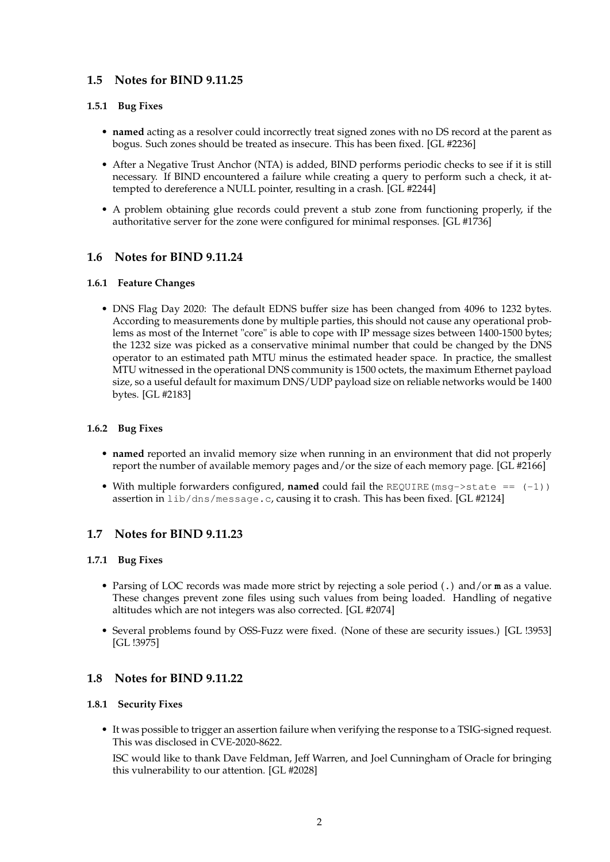### **1.5 Notes for BIND 9.11.25**

### **1.5.1 Bug Fixes**

- **named** acting as a resolver could incorrectly treat signed zones with no DS record at the parent as bogus. Such zones should be treated as insecure. This has been fixed. [GL #2236]
- After a Negative Trust Anchor (NTA) is added, BIND performs periodic checks to see if it is still necessary. If BIND encountered a failure while creating a query to perform such a check, it attempted to dereference a NULL pointer, resulting in a crash. [GL #2244]
- A problem obtaining glue records could prevent a stub zone from functioning properly, if the authoritative server for the zone were configured for minimal responses. [GL #1736]

### **1.6 Notes for BIND 9.11.24**

#### **1.6.1 Feature Changes**

• DNS Flag Day 2020: The default EDNS buffer size has been changed from 4096 to 1232 bytes. According to measurements done by multiple parties, this should not cause any operational problems as most of the Internet "core" is able to cope with IP message sizes between 1400-1500 bytes; the 1232 size was picked as a conservative minimal number that could be changed by the DNS operator to an estimated path MTU minus the estimated header space. In practice, the smallest MTU witnessed in the operational DNS community is 1500 octets, the maximum Ethernet payload size, so a useful default for maximum DNS/UDP payload size on reliable networks would be 1400 bytes. [GL #2183]

### **1.6.2 Bug Fixes**

- **named** reported an invalid memory size when running in an environment that did not properly report the number of available memory pages and/or the size of each memory page. [GL #2166]
- With multiple forwarders configured, **named** could fail the REQUIRE(msg->state == (-1)) assertion in lib/dns/message.c, causing it to crash. This has been fixed. [GL #2124]

### **1.7 Notes for BIND 9.11.23**

#### **1.7.1 Bug Fixes**

- Parsing of LOC records was made more strict by rejecting a sole period (**.**) and/or **m** as a value. These changes prevent zone files using such values from being loaded. Handling of negative altitudes which are not integers was also corrected. [GL #2074]
- Several problems found by OSS-Fuzz were fixed. (None of these are security issues.) [GL !3953] [GL !3975]

### **1.8 Notes for BIND 9.11.22**

#### **1.8.1 Security Fixes**

• It was possible to trigger an assertion failure when verifying the response to a TSIG-signed request. This was disclosed in CVE-2020-8622.

ISC would like to thank Dave Feldman, Jeff Warren, and Joel Cunningham of Oracle for bringing this vulnerability to our attention. [GL #2028]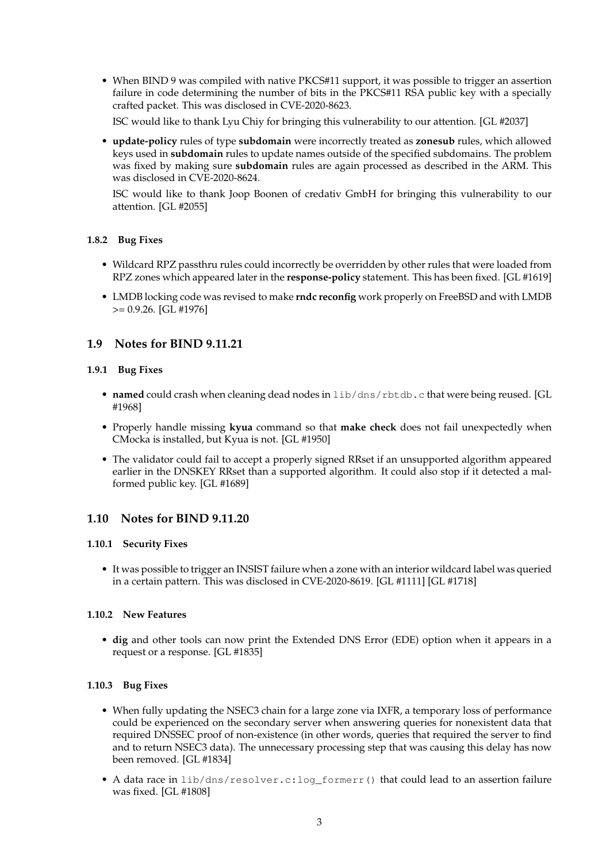• When BIND 9 was compiled with native PKCS#11 support, it was possible to trigger an assertion failure in code determining the number of bits in the PKCS#11 RSA public key with a specially crafted packet. This was disclosed in CVE-2020-8623.

ISC would like to thank Lyu Chiy for bringing this vulnerability to our attention. [GL #2037]

• **update-policy** rules of type **subdomain** were incorrectly treated as **zonesub** rules, which allowed keys used in **subdomain** rules to update names outside of the specified subdomains. The problem was fixed by making sure **subdomain** rules are again processed as described in the ARM. This was disclosed in CVE-2020-8624.

ISC would like to thank Joop Boonen of credativ GmbH for bringing this vulnerability to our attention. [GL #2055]

### **1.8.2 Bug Fixes**

- Wildcard RPZ passthru rules could incorrectly be overridden by other rules that were loaded from RPZ zones which appeared later in the **response-policy** statement. This has been fixed. [GL #1619]
- LMDB locking code was revised to make **rndc reconfig** work properly on FreeBSD and with LMDB >= 0.9.26. [GL #1976]

### **1.9 Notes for BIND 9.11.21**

### **1.9.1 Bug Fixes**

- **named** could crash when cleaning dead nodes in lib/dns/rbtdb.c that were being reused. [GL #1968]
- Properly handle missing **kyua** command so that **make check** does not fail unexpectedly when CMocka is installed, but Kyua is not. [GL #1950]
- The validator could fail to accept a properly signed RRset if an unsupported algorithm appeared earlier in the DNSKEY RRset than a supported algorithm. It could also stop if it detected a malformed public key. [GL #1689]

### **1.10 Notes for BIND 9.11.20**

#### **1.10.1 Security Fixes**

• It was possible to trigger an INSIST failure when a zone with an interior wildcard label was queried in a certain pattern. This was disclosed in CVE-2020-8619. [GL #1111] [GL #1718]

### **1.10.2 New Features**

• **dig** and other tools can now print the Extended DNS Error (EDE) option when it appears in a request or a response. [GL #1835]

### **1.10.3 Bug Fixes**

- When fully updating the NSEC3 chain for a large zone via IXFR, a temporary loss of performance could be experienced on the secondary server when answering queries for nonexistent data that required DNSSEC proof of non-existence (in other words, queries that required the server to find and to return NSEC3 data). The unnecessary processing step that was causing this delay has now been removed. [GL #1834]
- A data race in lib/dns/resolver.c:log\_formerr() that could lead to an assertion failure was fixed. [GL #1808]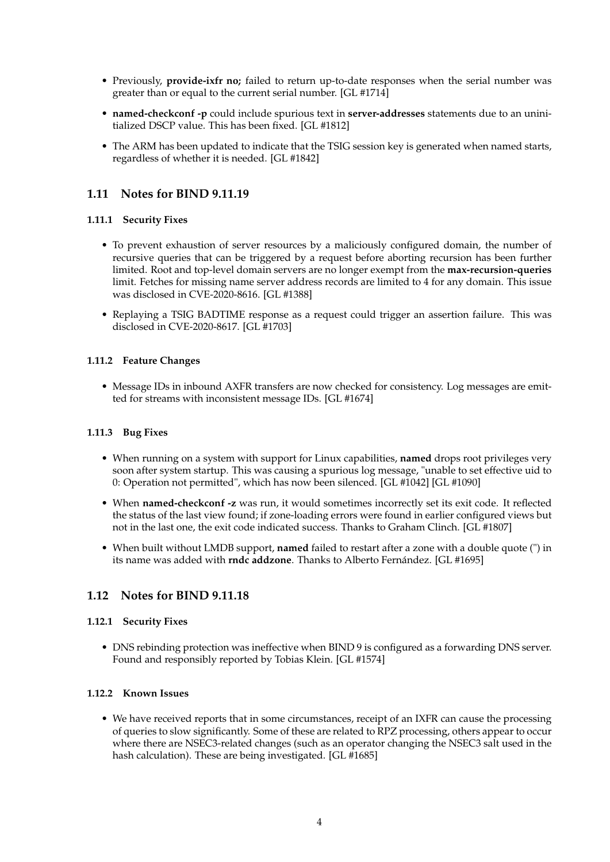- Previously, **provide-ixfr no;** failed to return up-to-date responses when the serial number was greater than or equal to the current serial number. [GL #1714]
- **named-checkconf -p** could include spurious text in **server-addresses** statements due to an uninitialized DSCP value. This has been fixed. [GL #1812]
- The ARM has been updated to indicate that the TSIG session key is generated when named starts, regardless of whether it is needed. [GL #1842]

# **1.11 Notes for BIND 9.11.19**

### **1.11.1 Security Fixes**

- To prevent exhaustion of server resources by a maliciously configured domain, the number of recursive queries that can be triggered by a request before aborting recursion has been further limited. Root and top-level domain servers are no longer exempt from the **max-recursion-queries** limit. Fetches for missing name server address records are limited to 4 for any domain. This issue was disclosed in CVE-2020-8616. [GL #1388]
- Replaying a TSIG BADTIME response as a request could trigger an assertion failure. This was disclosed in CVE-2020-8617. [GL #1703]

### **1.11.2 Feature Changes**

• Message IDs in inbound AXFR transfers are now checked for consistency. Log messages are emitted for streams with inconsistent message IDs. [GL #1674]

#### **1.11.3 Bug Fixes**

- When running on a system with support for Linux capabilities, **named** drops root privileges very soon after system startup. This was causing a spurious log message, "unable to set effective uid to 0: Operation not permitted", which has now been silenced. [GL #1042] [GL #1090]
- When **named-checkconf -z** was run, it would sometimes incorrectly set its exit code. It reflected the status of the last view found; if zone-loading errors were found in earlier configured views but not in the last one, the exit code indicated success. Thanks to Graham Clinch. [GL #1807]
- When built without LMDB support, **named** failed to restart after a zone with a double quote (") in its name was added with **rndc addzone**. Thanks to Alberto Fernández. [GL #1695]

### **1.12 Notes for BIND 9.11.18**

#### **1.12.1 Security Fixes**

• DNS rebinding protection was ineffective when BIND 9 is configured as a forwarding DNS server. Found and responsibly reported by Tobias Klein. [GL #1574]

### **1.12.2 Known Issues**

• We have received reports that in some circumstances, receipt of an IXFR can cause the processing of queries to slow significantly. Some of these are related to RPZ processing, others appear to occur where there are NSEC3-related changes (such as an operator changing the NSEC3 salt used in the hash calculation). These are being investigated. [GL #1685]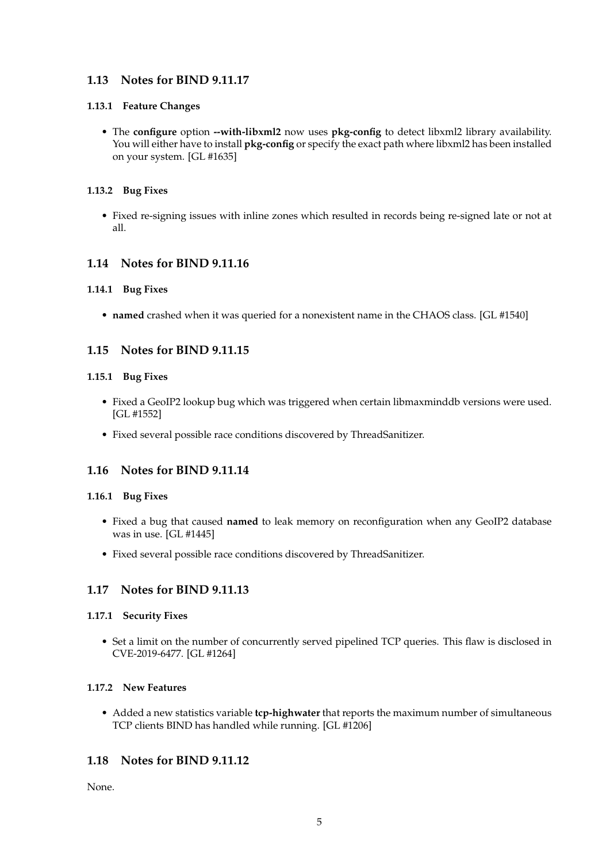# **1.13 Notes for BIND 9.11.17**

### **1.13.1 Feature Changes**

• The **configure** option **--with-libxml2** now uses **pkg-config** to detect libxml2 library availability. You will either have to install **pkg-config** or specify the exact path where libxml2 has been installed on your system. [GL #1635]

### **1.13.2 Bug Fixes**

• Fixed re-signing issues with inline zones which resulted in records being re-signed late or not at all.

# **1.14 Notes for BIND 9.11.16**

### **1.14.1 Bug Fixes**

• **named** crashed when it was queried for a nonexistent name in the CHAOS class. [GL #1540]

# **1.15 Notes for BIND 9.11.15**

### **1.15.1 Bug Fixes**

- Fixed a GeoIP2 lookup bug which was triggered when certain libmaxminddb versions were used. [GL #1552]
- Fixed several possible race conditions discovered by ThreadSanitizer.

# **1.16 Notes for BIND 9.11.14**

### **1.16.1 Bug Fixes**

- Fixed a bug that caused **named** to leak memory on reconfiguration when any GeoIP2 database was in use. [GL #1445]
- Fixed several possible race conditions discovered by ThreadSanitizer.

# **1.17 Notes for BIND 9.11.13**

### **1.17.1 Security Fixes**

• Set a limit on the number of concurrently served pipelined TCP queries. This flaw is disclosed in CVE-2019-6477. [GL #1264]

### **1.17.2 New Features**

• Added a new statistics variable **tcp-highwater** that reports the maximum number of simultaneous TCP clients BIND has handled while running. [GL #1206]

# **1.18 Notes for BIND 9.11.12**

None.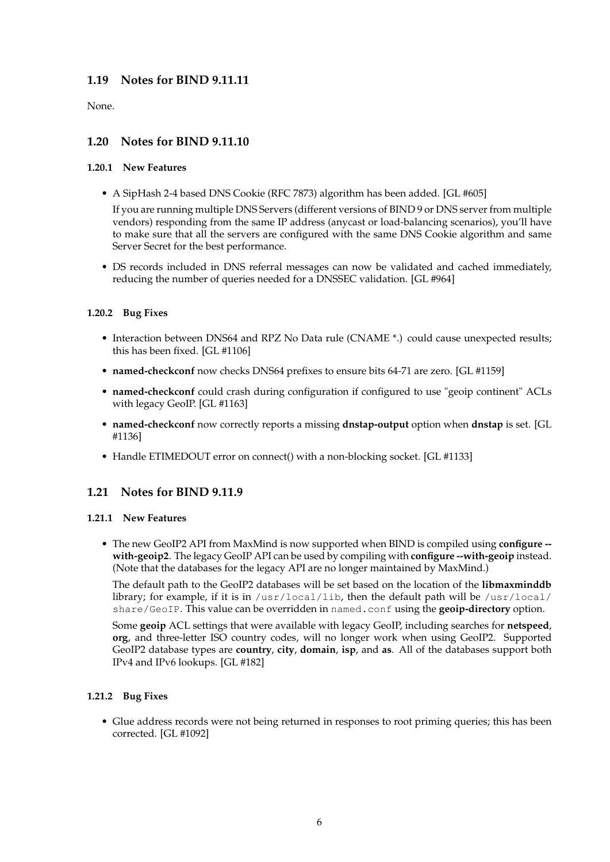# **1.19 Notes for BIND 9.11.11**

None.

# **1.20 Notes for BIND 9.11.10**

### **1.20.1 New Features**

• A SipHash 2-4 based DNS Cookie (RFC 7873) algorithm has been added. [GL #605]

If you are running multiple DNS Servers (different versions of BIND 9 or DNS server from multiple vendors) responding from the same IP address (anycast or load-balancing scenarios), you'll have to make sure that all the servers are configured with the same DNS Cookie algorithm and same Server Secret for the best performance.

• DS records included in DNS referral messages can now be validated and cached immediately, reducing the number of queries needed for a DNSSEC validation. [GL #964]

### **1.20.2 Bug Fixes**

- Interaction between DNS64 and RPZ No Data rule (CNAME \*.) could cause unexpected results; this has been fixed. [GL #1106]
- **named-checkconf** now checks DNS64 prefixes to ensure bits 64-71 are zero. [GL #1159]
- **named-checkconf** could crash during configuration if configured to use "geoip continent" ACLs with legacy GeoIP. [GL #1163]
- **named-checkconf** now correctly reports a missing **dnstap-output** option when **dnstap** is set. [GL #1136]
- Handle ETIMEDOUT error on connect() with a non-blocking socket. [GL #1133]

# **1.21 Notes for BIND 9.11.9**

#### **1.21.1 New Features**

• The new GeoIP2 API from MaxMind is now supported when BIND is compiled using **configure - with-geoip2**. The legacy GeoIP API can be used by compiling with **configure --with-geoip** instead. (Note that the databases for the legacy API are no longer maintained by MaxMind.)

The default path to the GeoIP2 databases will be set based on the location of the **libmaxminddb** library; for example, if it is in /usr/local/lib, then the default path will be /usr/local/ share/GeoIP. This value can be overridden in named.conf using the **geoip-directory** option.

Some **geoip** ACL settings that were available with legacy GeoIP, including searches for **netspeed**, **org**, and three-letter ISO country codes, will no longer work when using GeoIP2. Supported GeoIP2 database types are **country**, **city**, **domain**, **isp**, and **as**. All of the databases support both IPv4 and IPv6 lookups. [GL #182]

### **1.21.2 Bug Fixes**

• Glue address records were not being returned in responses to root priming queries; this has been corrected. [GL #1092]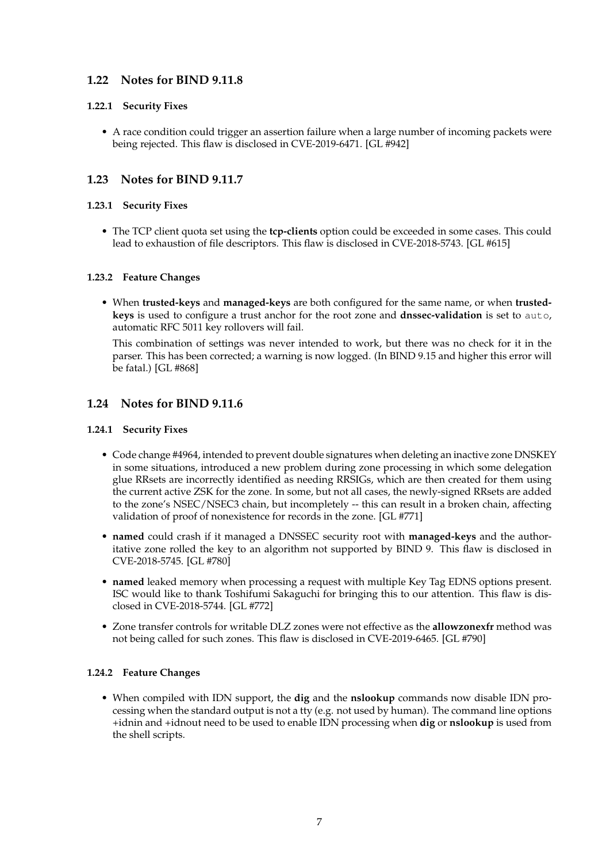# **1.22 Notes for BIND 9.11.8**

### **1.22.1 Security Fixes**

• A race condition could trigger an assertion failure when a large number of incoming packets were being rejected. This flaw is disclosed in CVE-2019-6471. [GL #942]

### **1.23 Notes for BIND 9.11.7**

### **1.23.1 Security Fixes**

• The TCP client quota set using the **tcp-clients** option could be exceeded in some cases. This could lead to exhaustion of file descriptors. This flaw is disclosed in CVE-2018-5743. [GL #615]

### **1.23.2 Feature Changes**

• When **trusted-keys** and **managed-keys** are both configured for the same name, or when **trustedkeys** is used to configure a trust anchor for the root zone and **dnssec-validation** is set to auto, automatic RFC 5011 key rollovers will fail.

This combination of settings was never intended to work, but there was no check for it in the parser. This has been corrected; a warning is now logged. (In BIND 9.15 and higher this error will be fatal.) [GL #868]

### **1.24 Notes for BIND 9.11.6**

### **1.24.1 Security Fixes**

- Code change #4964, intended to prevent double signatures when deleting an inactive zone DNSKEY in some situations, introduced a new problem during zone processing in which some delegation glue RRsets are incorrectly identified as needing RRSIGs, which are then created for them using the current active ZSK for the zone. In some, but not all cases, the newly-signed RRsets are added to the zone's NSEC/NSEC3 chain, but incompletely -- this can result in a broken chain, affecting validation of proof of nonexistence for records in the zone. [GL #771]
- **named** could crash if it managed a DNSSEC security root with **managed-keys** and the authoritative zone rolled the key to an algorithm not supported by BIND 9. This flaw is disclosed in CVE-2018-5745. [GL #780]
- **named** leaked memory when processing a request with multiple Key Tag EDNS options present. ISC would like to thank Toshifumi Sakaguchi for bringing this to our attention. This flaw is disclosed in CVE-2018-5744. [GL #772]
- Zone transfer controls for writable DLZ zones were not effective as the **allowzonexfr** method was not being called for such zones. This flaw is disclosed in CVE-2019-6465. [GL #790]

### **1.24.2 Feature Changes**

• When compiled with IDN support, the **dig** and the **nslookup** commands now disable IDN processing when the standard output is not a tty (e.g. not used by human). The command line options +idnin and +idnout need to be used to enable IDN processing when **dig** or **nslookup** is used from the shell scripts.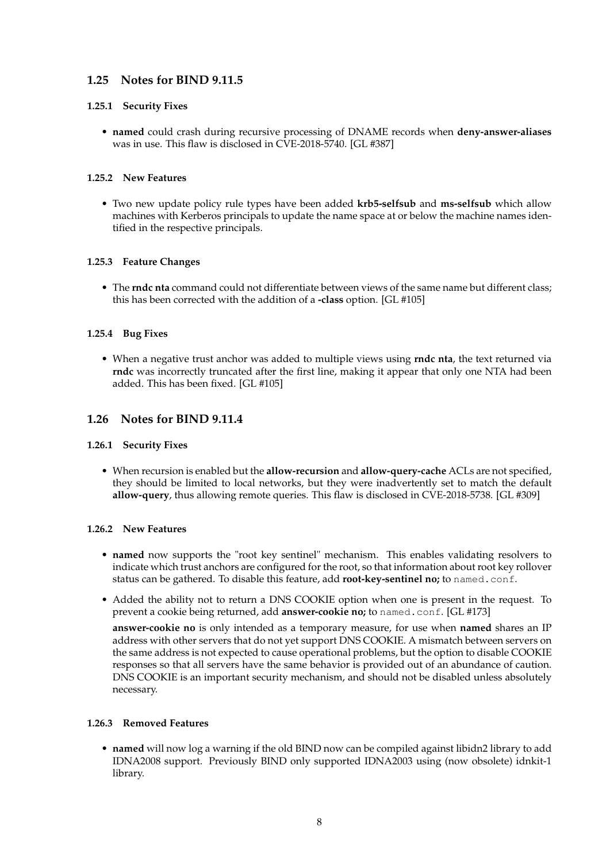# **1.25 Notes for BIND 9.11.5**

### **1.25.1 Security Fixes**

• **named** could crash during recursive processing of DNAME records when **deny-answer-aliases** was in use. This flaw is disclosed in CVE-2018-5740. [GL #387]

### **1.25.2 New Features**

• Two new update policy rule types have been added **krb5-selfsub** and **ms-selfsub** which allow machines with Kerberos principals to update the name space at or below the machine names identified in the respective principals.

### **1.25.3 Feature Changes**

• The **rndc nta** command could not differentiate between views of the same name but different class; this has been corrected with the addition of a **-class** option. [GL #105]

### **1.25.4 Bug Fixes**

• When a negative trust anchor was added to multiple views using **rndc nta**, the text returned via **rndc** was incorrectly truncated after the first line, making it appear that only one NTA had been added. This has been fixed. [GL #105]

# **1.26 Notes for BIND 9.11.4**

#### **1.26.1 Security Fixes**

• When recursion is enabled but the **allow-recursion** and **allow-query-cache** ACLs are not specified, they should be limited to local networks, but they were inadvertently set to match the default **allow-query**, thus allowing remote queries. This flaw is disclosed in CVE-2018-5738. [GL #309]

#### **1.26.2 New Features**

- **named** now supports the "root key sentinel" mechanism. This enables validating resolvers to indicate which trust anchors are configured for the root, so that information about root key rollover status can be gathered. To disable this feature, add **root-key-sentinel no;** to named.conf.
- Added the ability not to return a DNS COOKIE option when one is present in the request. To prevent a cookie being returned, add **answer-cookie no;** to named.conf. [GL #173]

**answer-cookie no** is only intended as a temporary measure, for use when **named** shares an IP address with other servers that do not yet support DNS COOKIE. A mismatch between servers on the same address is not expected to cause operational problems, but the option to disable COOKIE responses so that all servers have the same behavior is provided out of an abundance of caution. DNS COOKIE is an important security mechanism, and should not be disabled unless absolutely necessary.

#### **1.26.3 Removed Features**

• **named** will now log a warning if the old BIND now can be compiled against libidn2 library to add IDNA2008 support. Previously BIND only supported IDNA2003 using (now obsolete) idnkit-1 library.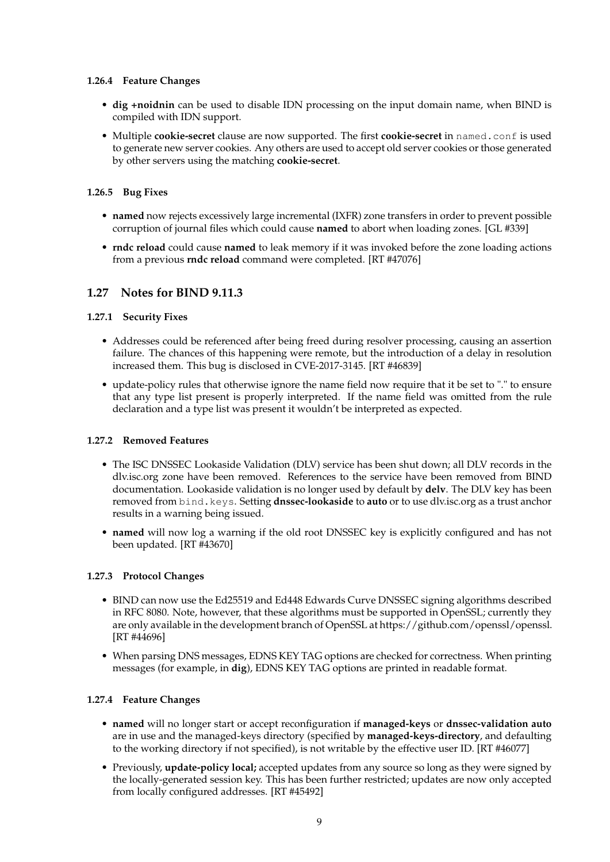### **1.26.4 Feature Changes**

- **dig +noidnin** can be used to disable IDN processing on the input domain name, when BIND is compiled with IDN support.
- Multiple **cookie-secret** clause are now supported. The first **cookie-secret** in named.conf is used to generate new server cookies. Any others are used to accept old server cookies or those generated by other servers using the matching **cookie-secret**.

### **1.26.5 Bug Fixes**

- **named** now rejects excessively large incremental (IXFR) zone transfers in order to prevent possible corruption of journal files which could cause **named** to abort when loading zones. [GL #339]
- **rndc reload** could cause **named** to leak memory if it was invoked before the zone loading actions from a previous **rndc reload** command were completed. [RT #47076]

### **1.27 Notes for BIND 9.11.3**

### **1.27.1 Security Fixes**

- Addresses could be referenced after being freed during resolver processing, causing an assertion failure. The chances of this happening were remote, but the introduction of a delay in resolution increased them. This bug is disclosed in CVE-2017-3145. [RT #46839]
- update-policy rules that otherwise ignore the name field now require that it be set to "." to ensure that any type list present is properly interpreted. If the name field was omitted from the rule declaration and a type list was present it wouldn't be interpreted as expected.

#### **1.27.2 Removed Features**

- The ISC DNSSEC Lookaside Validation (DLV) service has been shut down; all DLV records in the dlv.isc.org zone have been removed. References to the service have been removed from BIND documentation. Lookaside validation is no longer used by default by **delv**. The DLV key has been removed from bind.keys. Setting **dnssec-lookaside** to **auto** or to use dlv.isc.org as a trust anchor results in a warning being issued.
- **named** will now log a warning if the old root DNSSEC key is explicitly configured and has not been updated. [RT #43670]

#### **1.27.3 Protocol Changes**

- BIND can now use the Ed25519 and Ed448 Edwards Curve DNSSEC signing algorithms described in RFC 8080. Note, however, that these algorithms must be supported in OpenSSL; currently they are only available in the development branch of OpenSSL at https://github.com/openssl/openssl. [RT #44696]
- When parsing DNS messages, EDNS KEY TAG options are checked for correctness. When printing messages (for example, in **dig**), EDNS KEY TAG options are printed in readable format.

### **1.27.4 Feature Changes**

- **named** will no longer start or accept reconfiguration if **managed-keys** or **dnssec-validation auto** are in use and the managed-keys directory (specified by **managed-keys-directory**, and defaulting to the working directory if not specified), is not writable by the effective user ID. [RT #46077]
- Previously, **update-policy local;** accepted updates from any source so long as they were signed by the locally-generated session key. This has been further restricted; updates are now only accepted from locally configured addresses. [RT #45492]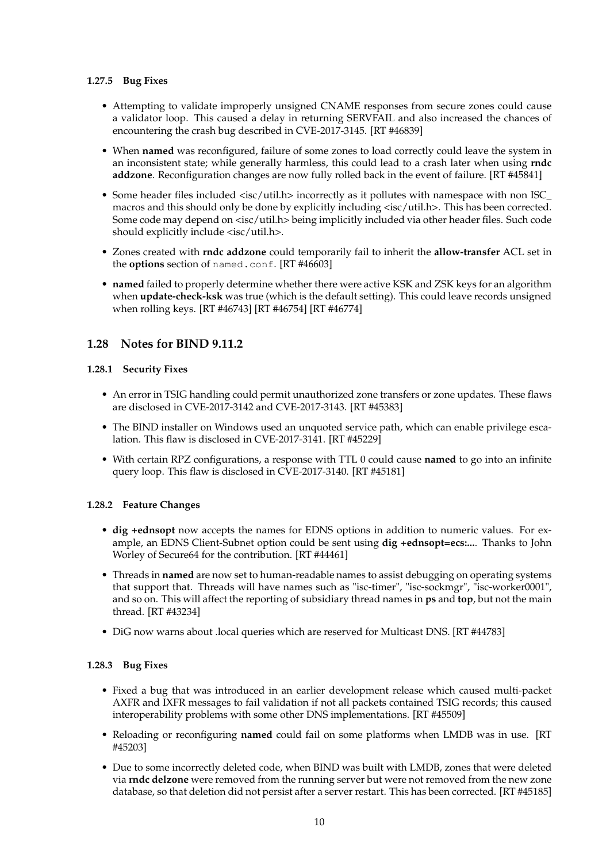### **1.27.5 Bug Fixes**

- Attempting to validate improperly unsigned CNAME responses from secure zones could cause a validator loop. This caused a delay in returning SERVFAIL and also increased the chances of encountering the crash bug described in CVE-2017-3145. [RT #46839]
- When **named** was reconfigured, failure of some zones to load correctly could leave the system in an inconsistent state; while generally harmless, this could lead to a crash later when using **rndc addzone**. Reconfiguration changes are now fully rolled back in the event of failure. [RT #45841]
- Some header files included <isc/util.h> incorrectly as it pollutes with namespace with non ISC\_ macros and this should only be done by explicitly including <isc/util.h>. This has been corrected. Some code may depend on <isc/util.h> being implicitly included via other header files. Such code should explicitly include <isc/util.h>.
- Zones created with **rndc addzone** could temporarily fail to inherit the **allow-transfer** ACL set in the **options** section of named.conf. [RT #46603]
- **named** failed to properly determine whether there were active KSK and ZSK keys for an algorithm when **update-check-ksk** was true (which is the default setting). This could leave records unsigned when rolling keys. [RT #46743] [RT #46754] [RT #46774]

# **1.28 Notes for BIND 9.11.2**

### **1.28.1 Security Fixes**

- An error in TSIG handling could permit unauthorized zone transfers or zone updates. These flaws are disclosed in CVE-2017-3142 and CVE-2017-3143. [RT #45383]
- The BIND installer on Windows used an unquoted service path, which can enable privilege escalation. This flaw is disclosed in CVE-2017-3141. [RT #45229]
- With certain RPZ configurations, a response with TTL 0 could cause **named** to go into an infinite query loop. This flaw is disclosed in CVE-2017-3140. [RT #45181]

### **1.28.2 Feature Changes**

- **dig +ednsopt** now accepts the names for EDNS options in addition to numeric values. For example, an EDNS Client-Subnet option could be sent using **dig +ednsopt=ecs:...**. Thanks to John Worley of Secure64 for the contribution. [RT #44461]
- Threads in **named** are now set to human-readable names to assist debugging on operating systems that support that. Threads will have names such as "isc-timer", "isc-sockmgr", "isc-worker0001", and so on. This will affect the reporting of subsidiary thread names in **ps** and **top**, but not the main thread. [RT #43234]
- DiG now warns about .local queries which are reserved for Multicast DNS. [RT #44783]

### **1.28.3 Bug Fixes**

- Fixed a bug that was introduced in an earlier development release which caused multi-packet AXFR and IXFR messages to fail validation if not all packets contained TSIG records; this caused interoperability problems with some other DNS implementations. [RT #45509]
- Reloading or reconfiguring **named** could fail on some platforms when LMDB was in use. [RT #45203]
- Due to some incorrectly deleted code, when BIND was built with LMDB, zones that were deleted via **rndc delzone** were removed from the running server but were not removed from the new zone database, so that deletion did not persist after a server restart. This has been corrected. [RT #45185]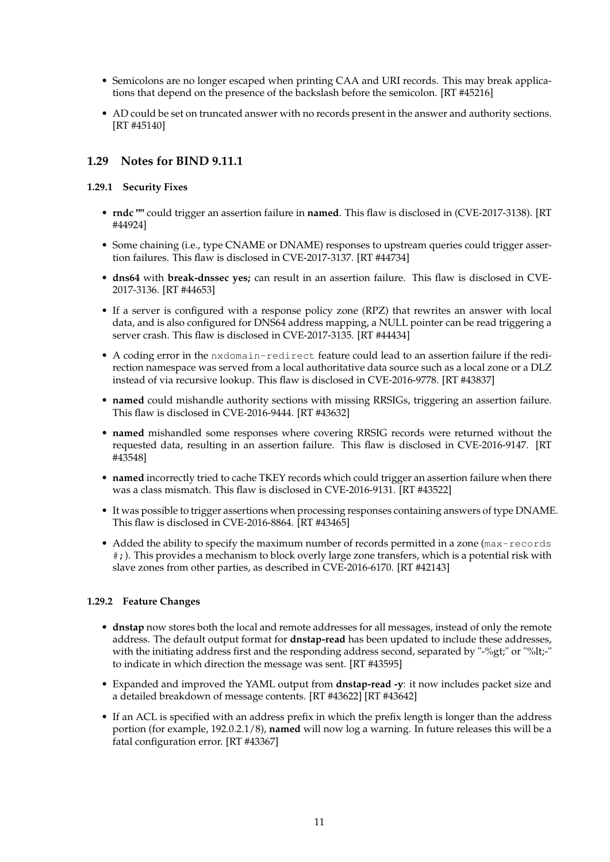- Semicolons are no longer escaped when printing CAA and URI records. This may break applications that depend on the presence of the backslash before the semicolon. [RT #45216]
- AD could be set on truncated answer with no records present in the answer and authority sections. [RT #45140]

# **1.29 Notes for BIND 9.11.1**

### **1.29.1 Security Fixes**

- **rndc ""** could trigger an assertion failure in **named**. This flaw is disclosed in (CVE-2017-3138). [RT #44924]
- Some chaining (i.e., type CNAME or DNAME) responses to upstream queries could trigger assertion failures. This flaw is disclosed in CVE-2017-3137. [RT #44734]
- **dns64** with **break-dnssec yes;** can result in an assertion failure. This flaw is disclosed in CVE-2017-3136. [RT #44653]
- If a server is configured with a response policy zone (RPZ) that rewrites an answer with local data, and is also configured for DNS64 address mapping, a NULL pointer can be read triggering a server crash. This flaw is disclosed in CVE-2017-3135. [RT #44434]
- A coding error in the nxdomain-redirect feature could lead to an assertion failure if the redirection namespace was served from a local authoritative data source such as a local zone or a DLZ instead of via recursive lookup. This flaw is disclosed in CVE-2016-9778. [RT #43837]
- **named** could mishandle authority sections with missing RRSIGs, triggering an assertion failure. This flaw is disclosed in CVE-2016-9444. [RT #43632]
- **named** mishandled some responses where covering RRSIG records were returned without the requested data, resulting in an assertion failure. This flaw is disclosed in CVE-2016-9147. [RT #43548]
- **named** incorrectly tried to cache TKEY records which could trigger an assertion failure when there was a class mismatch. This flaw is disclosed in CVE-2016-9131. [RT #43522]
- It was possible to trigger assertions when processing responses containing answers of type DNAME. This flaw is disclosed in CVE-2016-8864. [RT #43465]
- Added the ability to specify the maximum number of records permitted in a zone (max-records #;). This provides a mechanism to block overly large zone transfers, which is a potential risk with slave zones from other parties, as described in CVE-2016-6170. [RT #42143]

### **1.29.2 Feature Changes**

- **dnstap** now stores both the local and remote addresses for all messages, instead of only the remote address. The default output format for **dnstap-read** has been updated to include these addresses, with the initiating address first and the responding address second, separated by "-%gt;" or "%lt;-" to indicate in which direction the message was sent. [RT #43595]
- Expanded and improved the YAML output from **dnstap-read -y**: it now includes packet size and a detailed breakdown of message contents. [RT #43622] [RT #43642]
- If an ACL is specified with an address prefix in which the prefix length is longer than the address portion (for example, 192.0.2.1/8), **named** will now log a warning. In future releases this will be a fatal configuration error. [RT #43367]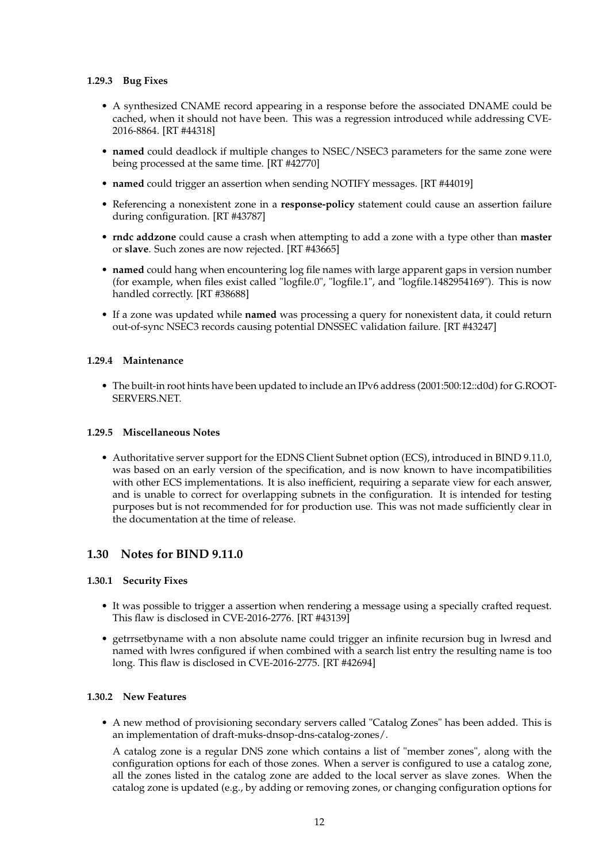### **1.29.3 Bug Fixes**

- A synthesized CNAME record appearing in a response before the associated DNAME could be cached, when it should not have been. This was a regression introduced while addressing CVE-2016-8864. [RT #44318]
- **named** could deadlock if multiple changes to NSEC/NSEC3 parameters for the same zone were being processed at the same time. [RT #42770]
- **named** could trigger an assertion when sending NOTIFY messages. [RT #44019]
- Referencing a nonexistent zone in a **response-policy** statement could cause an assertion failure during configuration. [RT #43787]
- **rndc addzone** could cause a crash when attempting to add a zone with a type other than **master** or **slave**. Such zones are now rejected. [RT #43665]
- **named** could hang when encountering log file names with large apparent gaps in version number (for example, when files exist called "logfile.0", "logfile.1", and "logfile.1482954169"). This is now handled correctly. [RT #38688]
- If a zone was updated while **named** was processing a query for nonexistent data, it could return out-of-sync NSEC3 records causing potential DNSSEC validation failure. [RT #43247]

### **1.29.4 Maintenance**

• The built-in root hints have been updated to include an IPv6 address (2001:500:12::d0d) for G.ROOT-SERVERS.NET.

#### **1.29.5 Miscellaneous Notes**

• Authoritative server support for the EDNS Client Subnet option (ECS), introduced in BIND 9.11.0, was based on an early version of the specification, and is now known to have incompatibilities with other ECS implementations. It is also inefficient, requiring a separate view for each answer, and is unable to correct for overlapping subnets in the configuration. It is intended for testing purposes but is not recommended for for production use. This was not made sufficiently clear in the documentation at the time of release.

### **1.30 Notes for BIND 9.11.0**

#### **1.30.1 Security Fixes**

- It was possible to trigger a assertion when rendering a message using a specially crafted request. This flaw is disclosed in CVE-2016-2776. [RT #43139]
- getrrsetbyname with a non absolute name could trigger an infinite recursion bug in lwresd and named with lwres configured if when combined with a search list entry the resulting name is too long. This flaw is disclosed in CVE-2016-2775. [RT #42694]

#### **1.30.2 New Features**

• A new method of provisioning secondary servers called "Catalog Zones" has been added. This is an implementation of draft-muks-dnsop-dns-catalog-zones/.

A catalog zone is a regular DNS zone which contains a list of "member zones", along with the configuration options for each of those zones. When a server is configured to use a catalog zone, all the zones listed in the catalog zone are added to the local server as slave zones. When the catalog zone is updated (e.g., by adding or removing zones, or changing configuration options for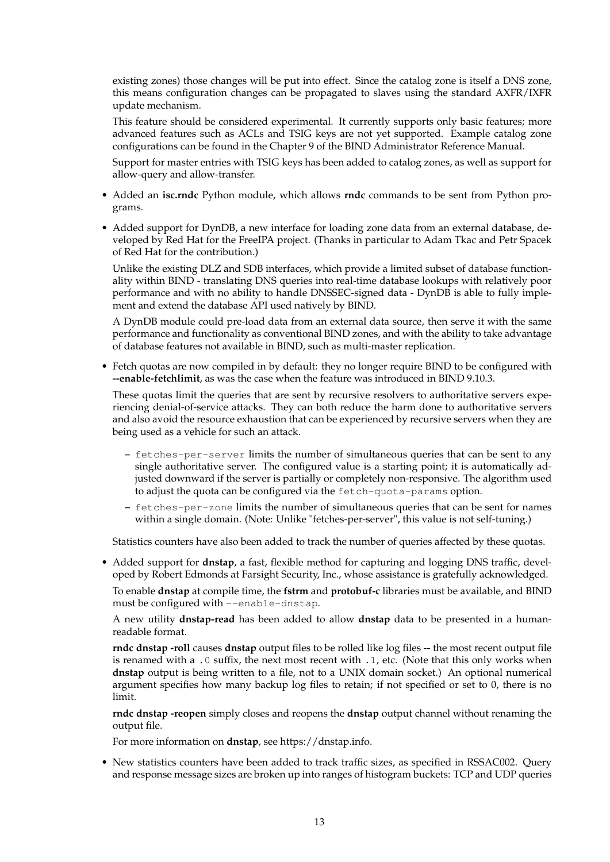existing zones) those changes will be put into effect. Since the catalog zone is itself a DNS zone, this means configuration changes can be propagated to slaves using the standard AXFR/IXFR update mechanism.

This feature should be considered experimental. It currently supports only basic features; more advanced features such as ACLs and TSIG keys are not yet supported. Example catalog zone configurations can be found in the Chapter 9 of the BIND Administrator Reference Manual.

Support for master entries with TSIG keys has been added to catalog zones, as well as support for allow-query and allow-transfer.

- Added an **isc.rndc** Python module, which allows **rndc** commands to be sent from Python programs.
- Added support for DynDB, a new interface for loading zone data from an external database, developed by Red Hat for the FreeIPA project. (Thanks in particular to Adam Tkac and Petr Spacek of Red Hat for the contribution.)

Unlike the existing DLZ and SDB interfaces, which provide a limited subset of database functionality within BIND - translating DNS queries into real-time database lookups with relatively poor performance and with no ability to handle DNSSEC-signed data - DynDB is able to fully implement and extend the database API used natively by BIND.

A DynDB module could pre-load data from an external data source, then serve it with the same performance and functionality as conventional BIND zones, and with the ability to take advantage of database features not available in BIND, such as multi-master replication.

• Fetch quotas are now compiled in by default: they no longer require BIND to be configured with **--enable-fetchlimit**, as was the case when the feature was introduced in BIND 9.10.3.

These quotas limit the queries that are sent by recursive resolvers to authoritative servers experiencing denial-of-service attacks. They can both reduce the harm done to authoritative servers and also avoid the resource exhaustion that can be experienced by recursive servers when they are being used as a vehicle for such an attack.

- **–** fetches-per-server limits the number of simultaneous queries that can be sent to any single authoritative server. The configured value is a starting point; it is automatically adjusted downward if the server is partially or completely non-responsive. The algorithm used to adjust the quota can be configured via the fetch-quota-params option.
- **–** fetches-per-zone limits the number of simultaneous queries that can be sent for names within a single domain. (Note: Unlike "fetches-per-server", this value is not self-tuning.)

Statistics counters have also been added to track the number of queries affected by these quotas.

• Added support for **dnstap**, a fast, flexible method for capturing and logging DNS traffic, developed by Robert Edmonds at Farsight Security, Inc., whose assistance is gratefully acknowledged.

To enable **dnstap** at compile time, the **fstrm** and **protobuf-c** libraries must be available, and BIND must be configured with --enable-dnstap.

A new utility **dnstap-read** has been added to allow **dnstap** data to be presented in a humanreadable format.

**rndc dnstap -roll** causes **dnstap** output files to be rolled like log files -- the most recent output file is renamed with a .0 suffix, the next most recent with .1, etc. (Note that this only works when **dnstap** output is being written to a file, not to a UNIX domain socket.) An optional numerical argument specifies how many backup log files to retain; if not specified or set to 0, there is no limit.

**rndc dnstap -reopen** simply closes and reopens the **dnstap** output channel without renaming the output file.

For more information on **dnstap**, see https://dnstap.info.

• New statistics counters have been added to track traffic sizes, as specified in RSSAC002. Query and response message sizes are broken up into ranges of histogram buckets: TCP and UDP queries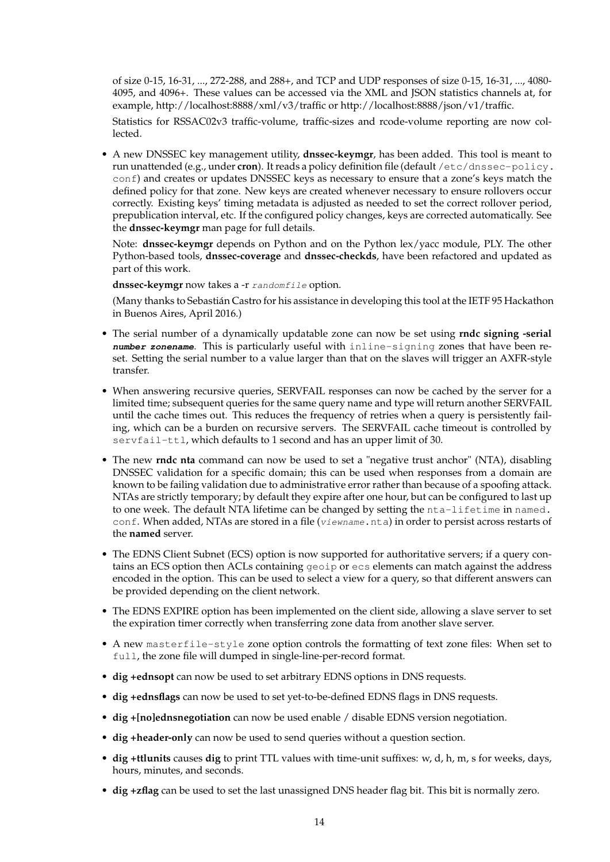of size 0-15, 16-31, ..., 272-288, and 288+, and TCP and UDP responses of size 0-15, 16-31, ..., 4080- 4095, and 4096+. These values can be accessed via the XML and JSON statistics channels at, for example, http://localhost:8888/xml/v3/traffic or http://localhost:8888/json/v1/traffic.

Statistics for RSSAC02v3 traffic-volume, traffic-sizes and rcode-volume reporting are now collected.

• A new DNSSEC key management utility, **dnssec-keymgr**, has been added. This tool is meant to run unattended (e.g., under **cron**). It reads a policy definition file (default /etc/dnssec-policy. conf) and creates or updates DNSSEC keys as necessary to ensure that a zone's keys match the defined policy for that zone. New keys are created whenever necessary to ensure rollovers occur correctly. Existing keys' timing metadata is adjusted as needed to set the correct rollover period, prepublication interval, etc. If the configured policy changes, keys are corrected automatically. See the **dnssec-keymgr** man page for full details.

Note: **dnssec-keymgr** depends on Python and on the Python lex/yacc module, PLY. The other Python-based tools, **dnssec-coverage** and **dnssec-checkds**, have been refactored and updated as part of this work.

dnssec-keymgr now takes a -r randomfile option.

(Many thanks to Sebastián Castro for his assistance in developing this tool at the IETF 95 Hackathon in Buenos Aires, April 2016.)

- The serial number of a dynamically updatable zone can now be set using **rndc signing -serial number zonename**. This is particularly useful with inline-signing zones that have been reset. Setting the serial number to a value larger than that on the slaves will trigger an AXFR-style transfer.
- When answering recursive queries, SERVFAIL responses can now be cached by the server for a limited time; subsequent queries for the same query name and type will return another SERVFAIL until the cache times out. This reduces the frequency of retries when a query is persistently failing, which can be a burden on recursive servers. The SERVFAIL cache timeout is controlled by servfail-ttl, which defaults to 1 second and has an upper limit of 30.
- The new **rndc nta** command can now be used to set a "negative trust anchor" (NTA), disabling DNSSEC validation for a specific domain; this can be used when responses from a domain are known to be failing validation due to administrative error rather than because of a spoofing attack. NTAs are strictly temporary; by default they expire after one hour, but can be configured to last up to one week. The default NTA lifetime can be changed by setting the nta-lifetime in named. conf. When added, NTAs are stored in a file (viewname.nta) in order to persist across restarts of the **named** server.
- The EDNS Client Subnet (ECS) option is now supported for authoritative servers; if a query contains an ECS option then ACLs containing geoip or ecs elements can match against the address encoded in the option. This can be used to select a view for a query, so that different answers can be provided depending on the client network.
- The EDNS EXPIRE option has been implemented on the client side, allowing a slave server to set the expiration timer correctly when transferring zone data from another slave server.
- A new masterfile-style zone option controls the formatting of text zone files: When set to full, the zone file will dumped in single-line-per-record format.
- **dig +ednsopt** can now be used to set arbitrary EDNS options in DNS requests.
- **dig +ednsflags** can now be used to set yet-to-be-defined EDNS flags in DNS requests.
- **dig +[no]ednsnegotiation** can now be used enable / disable EDNS version negotiation.
- **dig +header-only** can now be used to send queries without a question section.
- **dig +ttlunits** causes **dig** to print TTL values with time-unit suffixes: w, d, h, m, s for weeks, days, hours, minutes, and seconds.
- **dig +zflag** can be used to set the last unassigned DNS header flag bit. This bit is normally zero.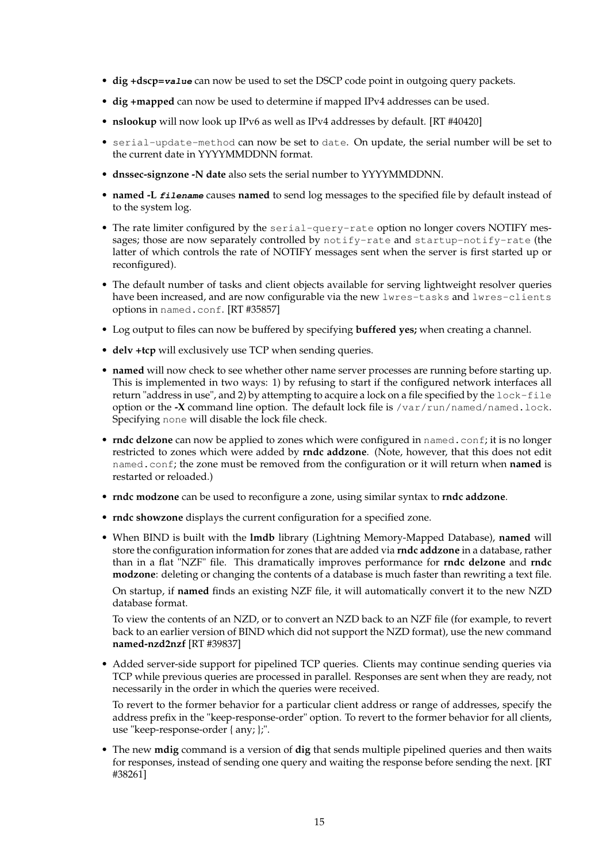- **dig +dscp=value** can now be used to set the DSCP code point in outgoing query packets.
- **dig +mapped** can now be used to determine if mapped IPv4 addresses can be used.
- **nslookup** will now look up IPv6 as well as IPv4 addresses by default. [RT #40420]
- serial-update-method can now be set to date. On update, the serial number will be set to the current date in YYYYMMDDNN format.
- **dnssec-signzone -N date** also sets the serial number to YYYYMMDDNN.
- **named -L filename** causes **named** to send log messages to the specified file by default instead of to the system log.
- The rate limiter configured by the serial-query-rate option no longer covers NOTIFY messages; those are now separately controlled by notify-rate and startup-notify-rate (the latter of which controls the rate of NOTIFY messages sent when the server is first started up or reconfigured).
- The default number of tasks and client objects available for serving lightweight resolver queries have been increased, and are now configurable via the new lwres-tasks and lwres-clients options in named.conf. [RT #35857]
- Log output to files can now be buffered by specifying **buffered yes;** when creating a channel.
- **delv +tcp** will exclusively use TCP when sending queries.
- **named** will now check to see whether other name server processes are running before starting up. This is implemented in two ways: 1) by refusing to start if the configured network interfaces all return "address in use", and 2) by attempting to acquire a lock on a file specified by the lock-file option or the **-X** command line option. The default lock file is /var/run/named/named.lock. Specifying none will disable the lock file check.
- **rndc delzone** can now be applied to zones which were configured in named.conf; it is no longer restricted to zones which were added by **rndc addzone**. (Note, however, that this does not edit named.conf; the zone must be removed from the configuration or it will return when **named** is restarted or reloaded.)
- **rndc modzone** can be used to reconfigure a zone, using similar syntax to **rndc addzone**.
- **rndc showzone** displays the current configuration for a specified zone.
- When BIND is built with the **lmdb** library (Lightning Memory-Mapped Database), **named** will store the configuration information for zones that are added via **rndc addzone** in a database, rather than in a flat "NZF" file. This dramatically improves performance for **rndc delzone** and **rndc modzone**: deleting or changing the contents of a database is much faster than rewriting a text file.

On startup, if **named** finds an existing NZF file, it will automatically convert it to the new NZD database format.

To view the contents of an NZD, or to convert an NZD back to an NZF file (for example, to revert back to an earlier version of BIND which did not support the NZD format), use the new command **named-nzd2nzf** [RT #39837]

• Added server-side support for pipelined TCP queries. Clients may continue sending queries via TCP while previous queries are processed in parallel. Responses are sent when they are ready, not necessarily in the order in which the queries were received.

To revert to the former behavior for a particular client address or range of addresses, specify the address prefix in the "keep-response-order" option. To revert to the former behavior for all clients, use "keep-response-order { any; };".

• The new **mdig** command is a version of **dig** that sends multiple pipelined queries and then waits for responses, instead of sending one query and waiting the response before sending the next. [RT #38261]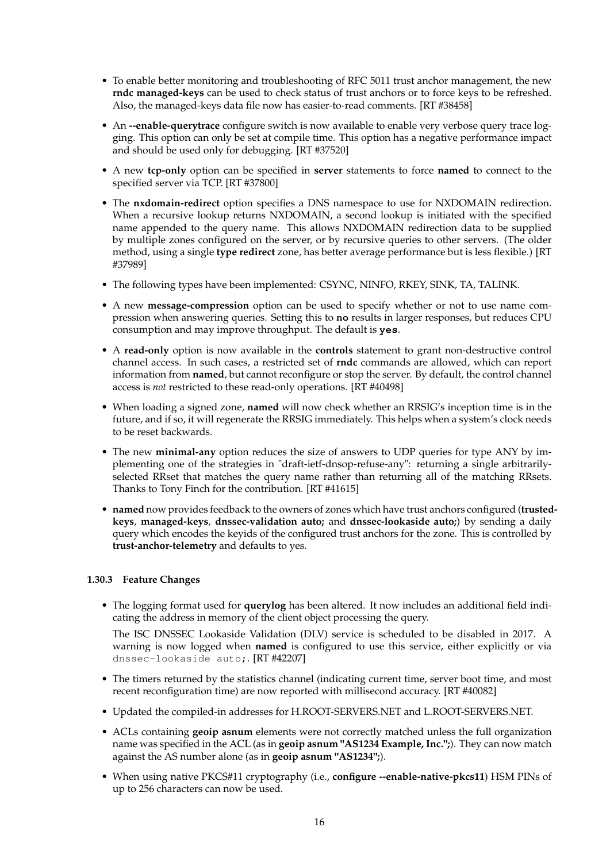- To enable better monitoring and troubleshooting of RFC 5011 trust anchor management, the new **rndc managed-keys** can be used to check status of trust anchors or to force keys to be refreshed. Also, the managed-keys data file now has easier-to-read comments. [RT #38458]
- An **--enable-querytrace** configure switch is now available to enable very verbose query trace logging. This option can only be set at compile time. This option has a negative performance impact and should be used only for debugging. [RT #37520]
- A new **tcp-only** option can be specified in **server** statements to force **named** to connect to the specified server via TCP. [RT #37800]
- The **nxdomain-redirect** option specifies a DNS namespace to use for NXDOMAIN redirection. When a recursive lookup returns NXDOMAIN, a second lookup is initiated with the specified name appended to the query name. This allows NXDOMAIN redirection data to be supplied by multiple zones configured on the server, or by recursive queries to other servers. (The older method, using a single **type redirect** zone, has better average performance but is less flexible.) [RT #37989]
- The following types have been implemented: CSYNC, NINFO, RKEY, SINK, TA, TALINK.
- A new **message-compression** option can be used to specify whether or not to use name compression when answering queries. Setting this to **no** results in larger responses, but reduces CPU consumption and may improve throughput. The default is **yes**.
- A **read-only** option is now available in the **controls** statement to grant non-destructive control channel access. In such cases, a restricted set of **rndc** commands are allowed, which can report information from **named**, but cannot reconfigure or stop the server. By default, the control channel access is *not* restricted to these read-only operations. [RT #40498]
- When loading a signed zone, **named** will now check whether an RRSIG's inception time is in the future, and if so, it will regenerate the RRSIG immediately. This helps when a system's clock needs to be reset backwards.
- The new **minimal-any** option reduces the size of answers to UDP queries for type ANY by implementing one of the strategies in "draft-ietf-dnsop-refuse-any": returning a single arbitrarilyselected RRset that matches the query name rather than returning all of the matching RRsets. Thanks to Tony Finch for the contribution. [RT #41615]
- **named** now provides feedback to the owners of zones which have trust anchors configured (**trustedkeys**, **managed-keys**, **dnssec-validation auto;** and **dnssec-lookaside auto;**) by sending a daily query which encodes the keyids of the configured trust anchors for the zone. This is controlled by **trust-anchor-telemetry** and defaults to yes.

### **1.30.3 Feature Changes**

• The logging format used for **querylog** has been altered. It now includes an additional field indicating the address in memory of the client object processing the query.

The ISC DNSSEC Lookaside Validation (DLV) service is scheduled to be disabled in 2017. A warning is now logged when **named** is configured to use this service, either explicitly or via dnssec-lookaside auto;. [RT #42207]

- The timers returned by the statistics channel (indicating current time, server boot time, and most recent reconfiguration time) are now reported with millisecond accuracy. [RT #40082]
- Updated the compiled-in addresses for H.ROOT-SERVERS.NET and L.ROOT-SERVERS.NET.
- ACLs containing **geoip asnum** elements were not correctly matched unless the full organization name was specified in the ACL (as in **geoip asnum "AS1234 Example, Inc.";**). They can now match against the AS number alone (as in **geoip asnum "AS1234";**).
- When using native PKCS#11 cryptography (i.e., **configure --enable-native-pkcs11**) HSM PINs of up to 256 characters can now be used.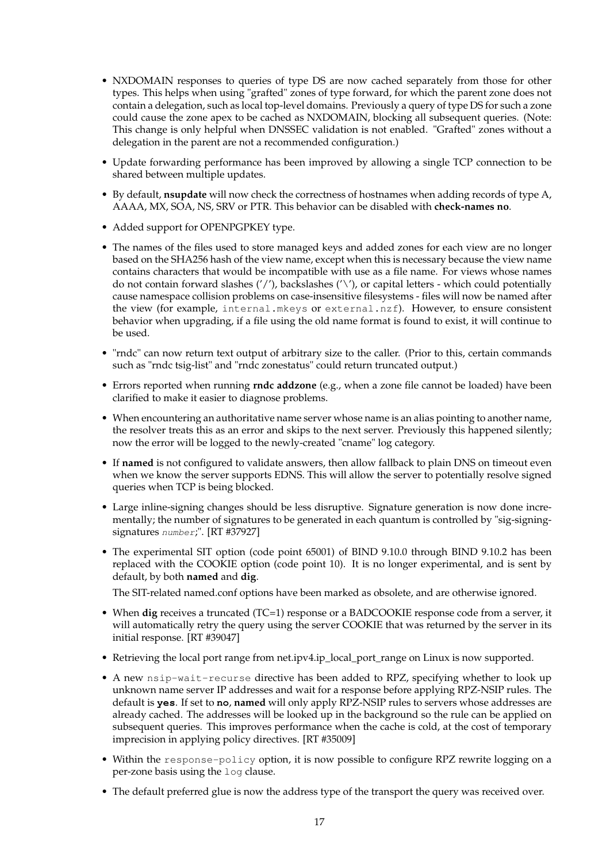- NXDOMAIN responses to queries of type DS are now cached separately from those for other types. This helps when using "grafted" zones of type forward, for which the parent zone does not contain a delegation, such as local top-level domains. Previously a query of type DS for such a zone could cause the zone apex to be cached as NXDOMAIN, blocking all subsequent queries. (Note: This change is only helpful when DNSSEC validation is not enabled. "Grafted" zones without a delegation in the parent are not a recommended configuration.)
- Update forwarding performance has been improved by allowing a single TCP connection to be shared between multiple updates.
- By default, **nsupdate** will now check the correctness of hostnames when adding records of type A, AAAA, MX, SOA, NS, SRV or PTR. This behavior can be disabled with **check-names no**.
- Added support for OPENPGPKEY type.
- The names of the files used to store managed keys and added zones for each view are no longer based on the SHA256 hash of the view name, except when this is necessary because the view name contains characters that would be incompatible with use as a file name. For views whose names do not contain forward slashes  $('')$ , backslashes  $('')$ , or capital letters - which could potentially cause namespace collision problems on case-insensitive filesystems - files will now be named after the view (for example, internal.mkeys or external.nzf). However, to ensure consistent behavior when upgrading, if a file using the old name format is found to exist, it will continue to be used.
- "rndc" can now return text output of arbitrary size to the caller. (Prior to this, certain commands such as "rndc tsig-list" and "rndc zonestatus" could return truncated output.)
- Errors reported when running **rndc addzone** (e.g., when a zone file cannot be loaded) have been clarified to make it easier to diagnose problems.
- When encountering an authoritative name server whose name is an alias pointing to another name, the resolver treats this as an error and skips to the next server. Previously this happened silently; now the error will be logged to the newly-created "cname" log category.
- If **named** is not configured to validate answers, then allow fallback to plain DNS on timeout even when we know the server supports EDNS. This will allow the server to potentially resolve signed queries when TCP is being blocked.
- Large inline-signing changes should be less disruptive. Signature generation is now done incrementally; the number of signatures to be generated in each quantum is controlled by "sig-signingsignatures number;". [RT #37927]
- The experimental SIT option (code point 65001) of BIND 9.10.0 through BIND 9.10.2 has been replaced with the COOKIE option (code point 10). It is no longer experimental, and is sent by default, by both **named** and **dig**.

The SIT-related named.conf options have been marked as obsolete, and are otherwise ignored.

- When **dig** receives a truncated (TC=1) response or a BADCOOKIE response code from a server, it will automatically retry the query using the server COOKIE that was returned by the server in its initial response. [RT #39047]
- Retrieving the local port range from net.ipv4.ip\_local\_port\_range on Linux is now supported.
- A new nsip-wait-recurse directive has been added to RPZ, specifying whether to look up unknown name server IP addresses and wait for a response before applying RPZ-NSIP rules. The default is **yes**. If set to **no**, **named** will only apply RPZ-NSIP rules to servers whose addresses are already cached. The addresses will be looked up in the background so the rule can be applied on subsequent queries. This improves performance when the cache is cold, at the cost of temporary imprecision in applying policy directives. [RT #35009]
- Within the response-policy option, it is now possible to configure RPZ rewrite logging on a per-zone basis using the log clause.
- The default preferred glue is now the address type of the transport the query was received over.